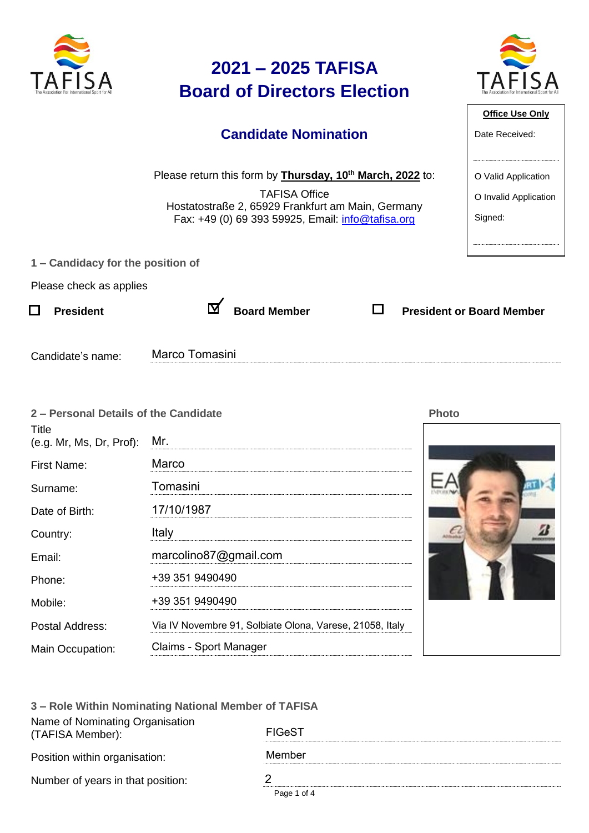

| 3 – Role Within Nominating National Member of TAFISA |               |  |  |  |
|------------------------------------------------------|---------------|--|--|--|
| Name of Nominating Organisation<br>(TAFISA Member):  | <b>FIGeST</b> |  |  |  |
| Position within organisation:                        | Member        |  |  |  |
| Number of years in that position:                    | 2             |  |  |  |
|                                                      | Page 1 of 4   |  |  |  |

Via IV Novembre 91, Solbiate Olona, Varese, 21058, Italy

marcolino87@gmail.com

+39 351 9490490

+39 351 9490490

Claims - Sport Manager

Email:

Phone:

Mobile:

Postal Address:

Main Occupation: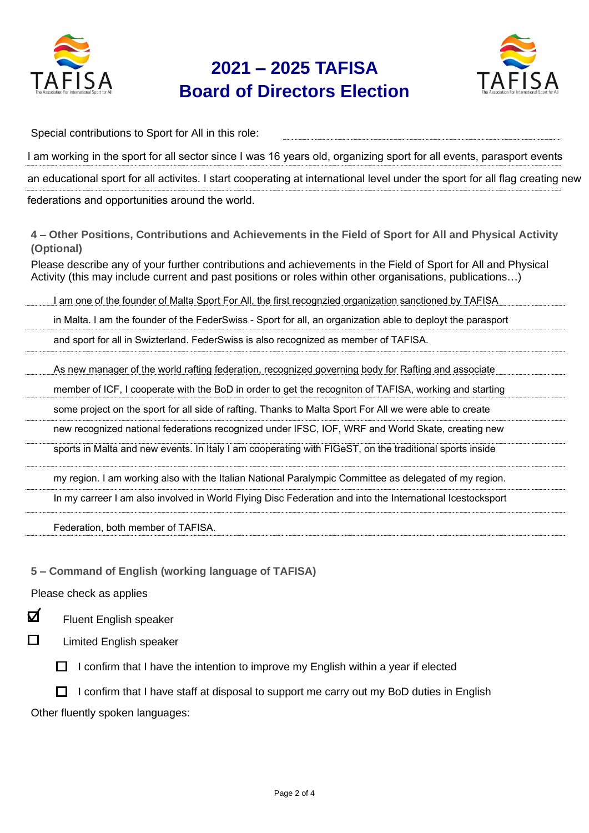

## **2021 – 2025 TAFISA Board of Directors Election**



Special contributions to Sport for All in this role: I am working in the sport for all sector since I was 16 years old, organizing sport for all events, parasport events an educational sport for all activites. I start cooperating at international level under the sport for all flag creating new federations and opportunities around the world.

**4 – Other Positions, Contributions and Achievements in the Field of Sport for All and Physical Activity (Optional)**

Please describe any of your further contributions and achievements in the Field of Sport for All and Physical Activity (this may include current and past positions or roles within other organisations, publications…)

I am one of the founder of Malta Sport For All, the first recognzied organization sanctioned by TAFISA

in Malta. I am the founder of the FederSwiss - Sport for all, an organization able to deployt the parasport

and sport for all in Swizterland. FederSwiss is also recognized as member of TAFISA.

As new manager of the world rafting federation, recognized governing body for Rafting and associate

member of ICF, I cooperate with the BoD in order to get the recogniton of TAFISA, working and starting

some project on the sport for all side of rafting. Thanks to Malta Sport For All we were able to create

new recognized national federations recognized under IFSC, IOF, WRF and World Skate, creating new

sports in Malta and new events. In Italy I am cooperating with FIGeST, on the traditional sports inside

my region. I am working also with the Italian National Paralympic Committee as delegated of my region.

In my carreer I am also involved in World Flying Disc Federation and into the International Icestocksport

Federation, both member of TAFISA.

**5 – Command of English (working language of TAFISA)**

Please check as applies

☑ Fluent English speaker

П

Limited English speaker

 $\Box$  I confirm that I have the intention to improve my English within a year if elected

 $\Box$  I confirm that I have staff at disposal to support me carry out my BoD duties in English Other fluently spoken languages: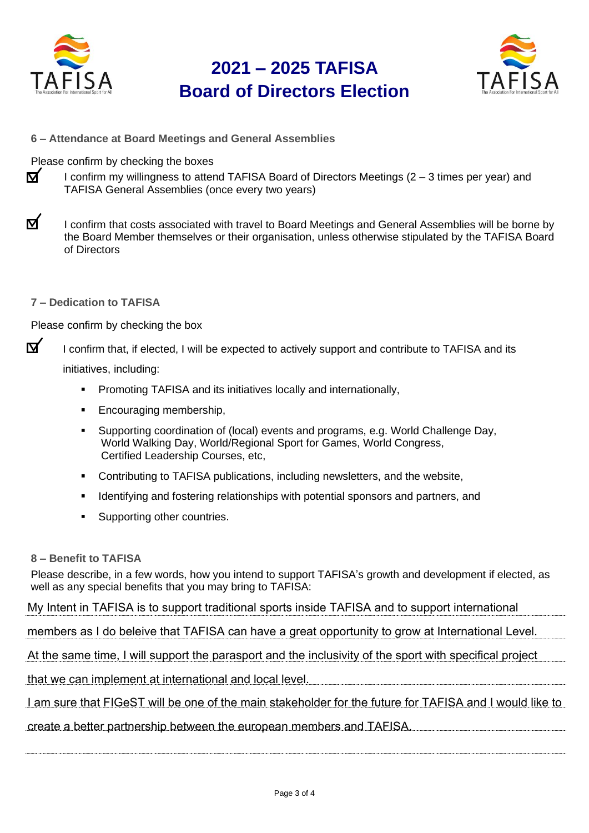

## **2021 – 2025 TAFISA Board of Directors Election**



**6 – Attendance at Board Meetings and General Assemblies**

Please confirm by checking the boxes

- ष I confirm my willingness to attend TAFISA Board of Directors Meetings (2 – 3 times per year) and TAFISA General Assemblies (once every two years)
- $\mathbf{\nabla}$ I confirm that costs associated with travel to Board Meetings and General Assemblies will be borne by the Board Member themselves or their organisation, unless otherwise stipulated by the TAFISA Board of Directors
- **7 – Dedication to TAFISA**

Please confirm by checking the box

 $\mathbf{\nabla}$ I confirm that, if elected, I will be expected to actively support and contribute to TAFISA and its

initiatives, including:

- **•** Promoting TAFISA and its initiatives locally and internationally,
- Encouraging membership,
- Supporting coordination of (local) events and programs, e.g. World Challenge Day, World Walking Day, World/Regional Sport for Games, World Congress, Certified Leadership Courses, etc,
- Contributing to TAFISA publications, including newsletters, and the website,
- Identifying and fostering relationships with potential sponsors and partners, and
- Supporting other countries.

## **8 – Benefit to TAFISA**

Please describe, in a few words, how you intend to support TAFISA's growth and development if elected, as well as any special benefits that you may bring to TAFISA:

My Intent in TAFISA is to support traditional sports inside TAFISA and to support international

members as I do beleive that TAFISA can have a great opportunity to grow at International Level.

At the same time, I will support the parasport and the inclusivity of the sport with specifical project

that we can implement at international and local level.

I am sure that FIGeST will be one of the main stakeholder for the future for TAFISA and I would like to

create a better partnership between the european members and TAFISA.